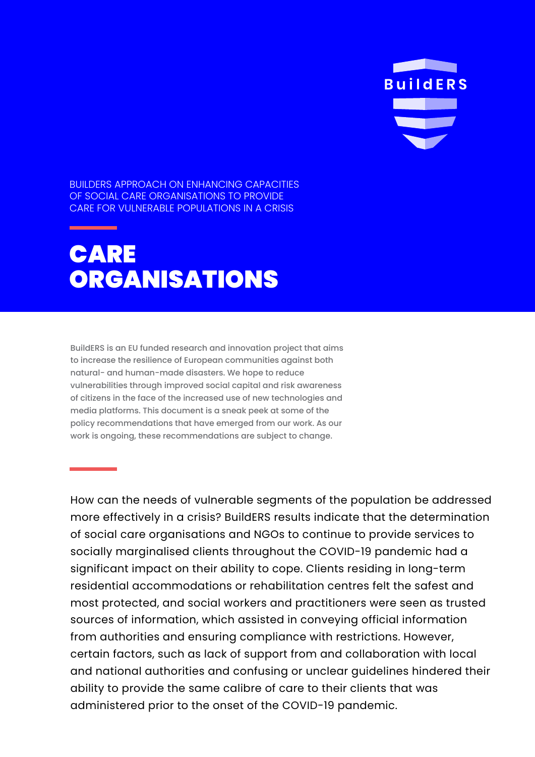**BuildERS** 

BUILDERS APPROACH ON ENHANCING CAPACITIES OF SOCIAL CARE ORGANISATIONS TO PROVIDE CARE FOR VULNERABLE POPULATIONS IN A CRISIS

## CARE **ORGANISATIONS**

BuildERS is an EU funded research and innovation project that aims to increase the resilience of European communities against both natural- and human-made disasters. We hope to reduce vulnerabilities through improved social capital and risk awareness of citizens in the face of the increased use of new technologies and media platforms. This document is a sneak peek at some of the policy recommendations that have emerged from our work. As our work is ongoing, these recommendations are subject to change.

How can the needs of vulnerable segments of the population be addressed more effectively in a crisis? BuildERS results indicate that the determination of social care organisations and NGOs to continue to provide services to socially marginalised clients throughout the COVID-19 pandemic had a significant impact on their ability to cope. Clients residing in long-term residential accommodations or rehabilitation centres felt the safest and most protected, and social workers and practitioners were seen as trusted sources of information, which assisted in conveying official information from authorities and ensuring compliance with restrictions. However, certain factors, such as lack of support from and collaboration with local and national authorities and confusing or unclear guidelines hindered their ability to provide the same calibre of care to their clients that was administered prior to the onset of the COVID-19 pandemic.